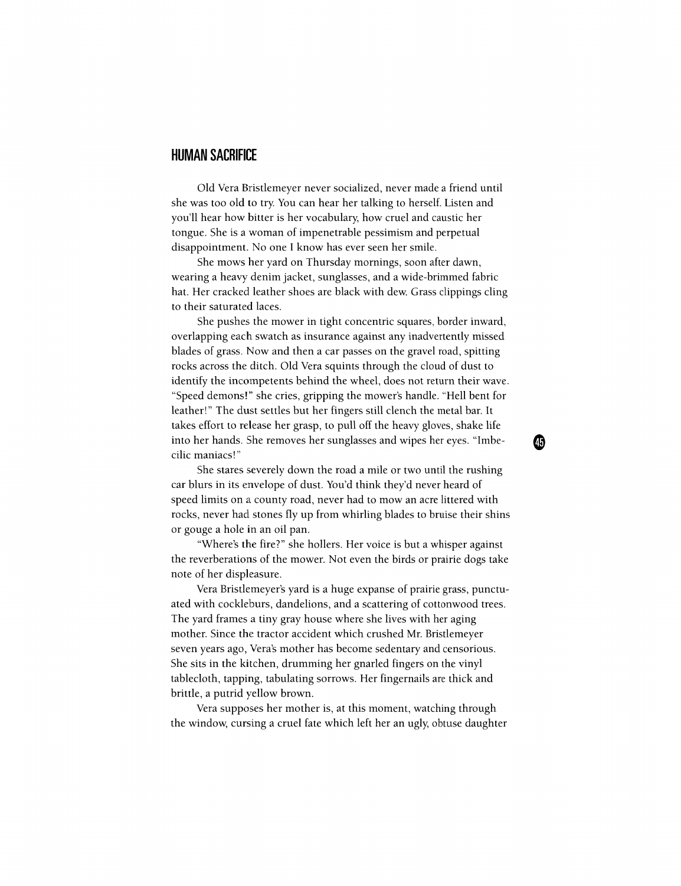## **HUMAN SACRIFICE**

Old Vera Bristlemeyer never socialized, never made a friend until she was too old to try. You can hear her talking to herself. Listen and you'll hear how bitter is her vocabulary, how cruel and caustic her tongue. She is a woman of impenetrable pessimism and perpetual disappointment. No one I know has ever seen her smile.

She mows her yard on Thursday mornings, soon after dawn, wearing a heavy denim jacket, sunglasses, and a wide-brimmed fabric hat. Her cracked leather shoes are black with dew. Grass clippings cling to their saturated laces.

She pushes the mower in tight concentric squares, border inward, overlapping each swatch as insurance against any inadvertently missed blades of grass. Now and then a car passes on the gravel road, spitting rocks across the ditch. Old Vera squints through the cloud of dust to identify the incompetents behind the wheel, does not return their wave. "Speed demons!" she cries, gripping the mower's handle. "Hell bent for leather!" The dust settles but her fingers still clench the metal bar. It takes effort to release her grasp, to pull off the heavy gloves, shake life into her hands. She removes her sunglasses and wipes her eyes. "Imbecilic maniacs!"

⊕

She stares severely down the road a mile or two until the rushing car blurs in its envelope of dust. You'd think they'd never heard of speed limits on a county road, never had to mow an acre littered with rocks, never had stones fly up from whirling blades to bruise their shins or gouge a hole in an oil pan.

"Where's the fire?" she hollers. Her voice is but a whisper against the reverberations of the mower. Not even the birds or prairie dogs take note of her displeasure.

Vera Bristlemeyer's yard is a huge expanse of prairie grass, punctuated with cockleburs, dandelions, and a scattering of cottonwood trees. The yard frames a tiny gray house where she lives with her aging mother. Since the tractor accident which crushed Mr. Bristlemeyer seven years ago, Vera's mother has become sedentary and censorious. She sits in the kitchen, drumming her gnarled fingers on the vinyl tablecloth, tapping, tabulating sorrows. Her fingernails are thick and brittle, a putrid yellow brown.

Vera supposes her mother is, at this moment, watching through the window, cursing a cruel fate which left her an ugly, obtuse daughter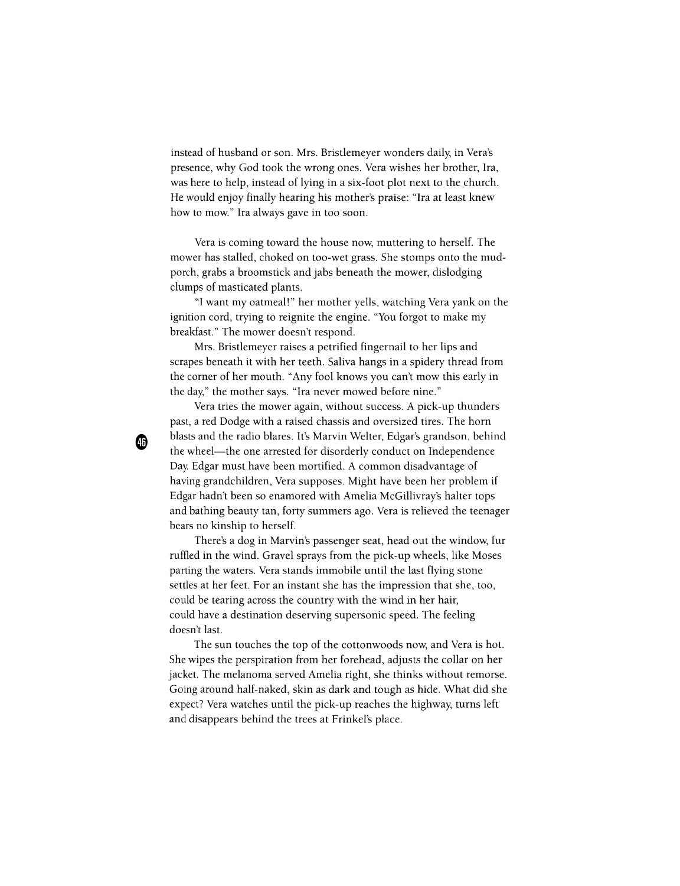instead of husband or son. Mrs. Bristlemeyer wonders daily, in Vera's presence, why God took the wrong ones. Vera wishes her brother, Ira, was here to help, instead of lying in a six-foot plot next to the church. He would enjoy finally hearing his mother's praise: "Ira at least knew how to mow." Ira always gave in too soon.

Vera is coming toward the house now, muttering to herself. The mower has stalled, choked on too-wet grass. She stomps onto the mudporch, grabs a broomstick and jabs beneath the mower, dislodging clumps of masticated plants.

"I want my oatmeal!" her mother yells, watching Vera yank on the ignition cord, trying to reignite the engine. "You forgot to make my breakfast." The mower doesn't respond.

Mrs. Bristlemeyer raises a petrified fingernail to her lips and scrapes beneath it with her teeth. Saliva hangs in a spidery thread from the corner of her mouth. "Any fool knows you can't mow this early in the day," the mother says. "Ira never mowed before nine."

Vera tries the mower again, without success. A pick-up thunders past, a red Dodge with a raised chassis and oversized tires. The horn blasts and the radio blares. It's Marvin Welter, Edgar's grandson, behind the wheel—the one arrested for disorderly conduct on Independence Day. Edgar must have been mortified. A common disadvantage of having grandchildren, Vera supposes. Might have been her problem if Edgar hadn't been so enamored with Amelia McGillivray's halter tops and bathing beauty tan, forty summers ago. Vera is relieved the teenager bears no kinship to herself.

⊕

There's a dog in Marvin's passenger seat, head out the window, fur ruffled in the wind. Gravel sprays from the pick-up wheels, like Moses parting the waters. Vera stands immobile until the last flying stone settles at her feet. For an instant she has the impression that she, too, could be tearing across the country with the wind in her hair, could have a destination deserving supersonic speed. The feeling doesn't last.

The sun touches the top of the cottonwoods now, and Vera is hot. She wipes the perspiration from her forehead, adjusts the collar on her jacket. The melanoma served Amelia right, she thinks without remorse. Going around half-naked, skin as dark and tough as hide. What did she expect? Vera watches until the pick-up reaches the highway, turns left and disappears behind the trees at Frinkel's place.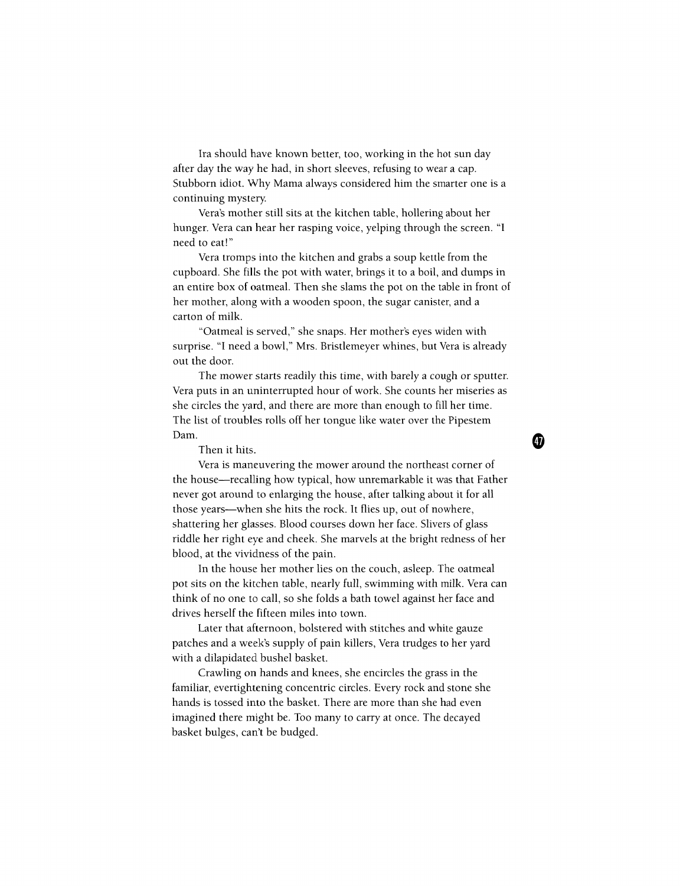Ira should have known better, too, working in the hot sun day after day the way he had, in short sleeves, refusing to wear a cap. Stubborn idiot. Why Mama always considered him the smarter one is a continuing mystery.

Vera's mother still sits at the kitchen table, hollering about her hunger. Vera can hear her rasping voice, yelping through the screen. "I need to eat!"

Vera tromps into the kitchen and grabs a soup kettle from the cupboard. She fills the pot with water, brings it to a boil, and dumps in an entire box of oatmeal. Then she slams the pot on the table in front of her mother, along with a wooden spoon, the sugar canister, and a carton of milk.

"Oatmeal is served," she snaps. Her mother's eyes widen with surprise. "I need a bowl," Mrs. Bristlemeyer whines, but Vera is already out the door.

The mower starts readily this time, with barely a cough or sputter. Vera puts in an uninterrupted hour of work. She counts her miseries as she circles the yard, and there are more than enough to fill her time. The list of troubles rolls off her tongue like water over the Pipestem Dam.

Then it hits.

Vera is maneuvering the mower around the northeast corner of the house—recalling how typical, how unremarkable it was that Father never got around to enlarging the house, after talking about it for all those years—when she hits the rock. It flies up, out of nowhere, shattering her glasses. Blood courses down her face. Slivers of glass riddle her right eye and cheek. She marvels at the bright redness of her blood, at the vividness of the pain.

In the house her mother lies on the couch, asleep. The oatmeal pot sits on the kitchen table, nearly full, swimming with milk. Vera can think of no one to call, so she folds a bath towel against her face and drives herself the fifteen miles into town.

Later that afternoon, bolstered with stitches and white gauze patches and a week's supply of pain killers, Vera trudges to her yard with a dilapidated bushel basket.

Crawling on hands and knees, she encircles the grass in the familiar, evertightening concentric circles. Every rock and stone she hands is tossed into the basket. There are more than she had even imagined there might be. Too many to carry at once. The decayed basket bulges, can't be budged.

Œ)